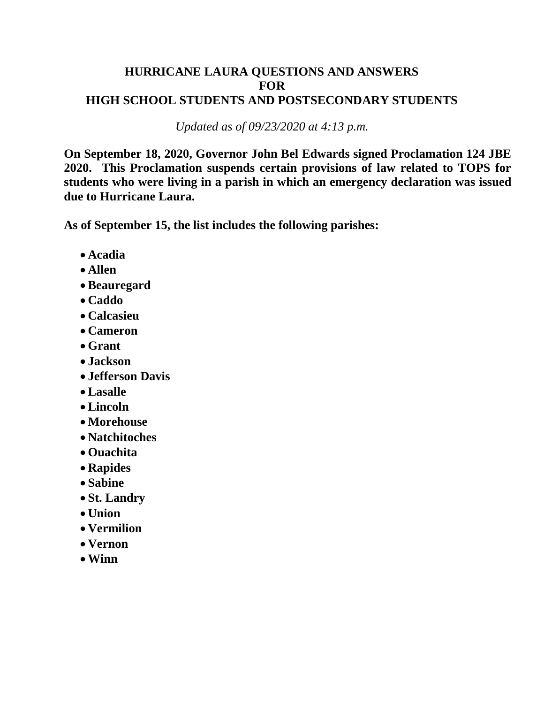# **HURRICANE LAURA QUESTIONS AND ANSWERS FOR HIGH SCHOOL STUDENTS AND POSTSECONDARY STUDENTS**

*Updated as of 09/23/2020 at 4:13 p.m.* 

 **On September 18, 2020, Governor John Bel Edwards signed Proclamation 124 JBE 2020. This Proclamation suspends certain provisions of law related to TOPS for students who were living in a parish in which an emergency declaration was issued due to Hurricane Laura.** 

**As of September 15, the list includes the following parishes:** 

- **Acadia**
- **Allen**
- **Beauregard**
- **Caddo**
- **Calcasieu**
- **Cameron**
- **Grant**
- **Jackson**
- **Jefferson Davis**
- **Lasalle**
- **Lincoln**
- **Morehouse**
- **Natchitoches**
- **Ouachita**
- **Rapides**
- **Sabine**
- **St. Landry**
- **Union**
- **Vermilion**
- **Vernon**
- **Winn**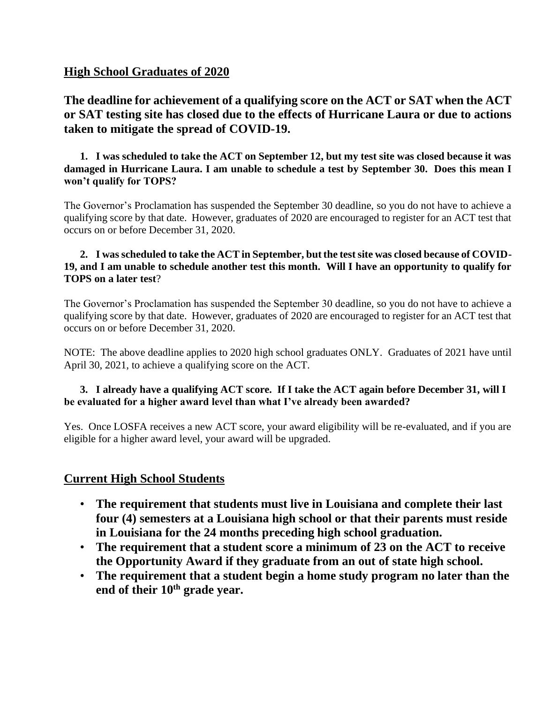# **High School Graduates of 2020**

# **The deadline for achievement of a qualifying score on the ACT or SAT when the ACT or SAT testing site has closed due to the effects of Hurricane Laura or due to actions taken to mitigate the spread of COVID-19.**

 **1. I was scheduled to take the ACT on September 12, but my test site was closed because it was damaged in Hurricane Laura. I am unable to schedule a test by September 30. Does this mean I won't qualify for TOPS?**

 The Governor's Proclamation has suspended the September 30 deadline, so you do not have to achieve a qualifying score by that date. However, graduates of 2020 are encouraged to register for an ACT test that occurs on or before December 31, 2020.

### **2. I was scheduled to take the ACT in September, but the test site was closed because of COVID- 19, and I am unable to schedule another test this month. Will I have an opportunity to qualify for TOPS on a later test**?

 The Governor's Proclamation has suspended the September 30 deadline, so you do not have to achieve a qualifying score by that date. However, graduates of 2020 are encouraged to register for an ACT test that occurs on or before December 31, 2020.

 NOTE: The above deadline applies to 2020 high school graduates ONLY. Graduates of 2021 have until April 30, 2021, to achieve a qualifying score on the ACT.

### **3. I already have a qualifying ACT score. If I take the ACT again before December 31, will I be evaluated for a higher award level than what I've already been awarded?**

Yes. Once LOSFA receives a new ACT score, your award eligibility will be re-evaluated, and if you are eligible for a higher award level, your award will be upgraded.

### **Current High School Students**

- **The requirement that students must live in Louisiana and complete their last four (4) semesters at a Louisiana high school or that their parents must reside in Louisiana for the 24 months preceding high school graduation.**
- **The requirement that a student score a minimum of 23 on the ACT to receive the Opportunity Award if they graduate from an out of state high school.**
- **The requirement that a student begin a home study program no later than the**  end of their 10<sup>th</sup> grade year.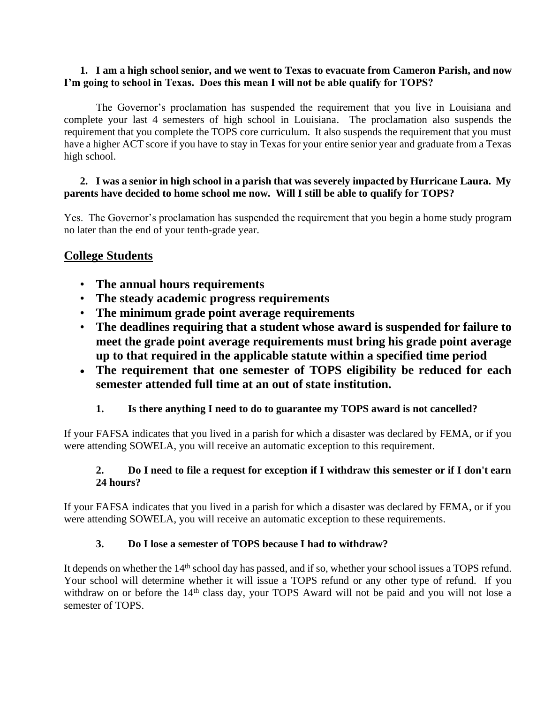#### **1. I am a high school senior, and we went to Texas to evacuate from Cameron Parish, and now I'm going to school in Texas. Does this mean I will not be able qualify for TOPS?**

 The Governor's proclamation has suspended the requirement that you live in Louisiana and complete your last 4 semesters of high school in Louisiana. The proclamation also suspends the requirement that you complete the TOPS core curriculum. It also suspends the requirement that you must have a higher ACT score if you have to stay in Texas for your entire senior year and graduate from a Texas high school.

#### **2. I was a senior in high school in a parish that was severely impacted by Hurricane Laura. My parents have decided to home school me now. Will I still be able to qualify for TOPS?**

Yes. The Governor's proclamation has suspended the requirement that you begin a home study program no later than the end of your tenth-grade year.

# **College Students**

- **The annual hours requirements**
- **The steady academic progress requirements**
- **The minimum grade point average requirements**
- **The deadlines requiring that a student whose award is suspended for failure to meet the grade point average requirements must bring his grade point average up to that required in the applicable statute within a specified time period**
- **The requirement that one semester of TOPS eligibility be reduced for each semester attended full time at an out of state institution.**

### **1. Is there anything I need to do to guarantee my TOPS award is not cancelled?**

If your FAFSA indicates that you lived in a parish for which a disaster was declared by FEMA, or if you were attending SOWELA, you will receive an automatic exception to this requirement.

### **2. Do I need to file a request for exception if I withdraw this semester or if I don't earn 24 hours?**

If your FAFSA indicates that you lived in a parish for which a disaster was declared by FEMA, or if you were attending SOWELA, you will receive an automatic exception to these requirements.

### **3. Do I lose a semester of TOPS because I had to withdraw?**

It depends on whether the 14<sup>th</sup> school day has passed, and if so, whether your school issues a TOPS refund. Your school will determine whether it will issue a TOPS refund or any other type of refund. If you withdraw on or before the 14<sup>th</sup> class day, your TOPS Award will not be paid and you will not lose a semester of TOPS.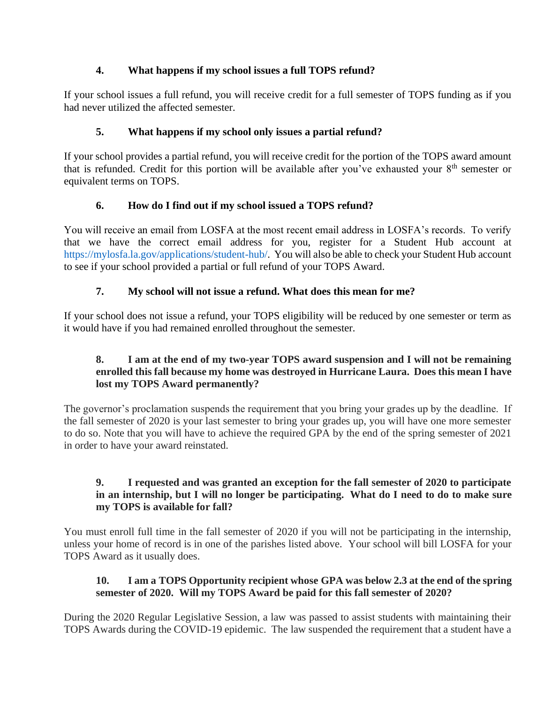### **4. What happens if my school issues a full TOPS refund?**

 If your school issues a full refund, you will receive credit for a full semester of TOPS funding as if you had never utilized the affected semester.

# **5. What happens if my school only issues a partial refund?**

 If your school provides a partial refund, you will receive credit for the portion of the TOPS award amount that is refunded. Credit for this portion will be available after you've exhausted your 8<sup>th</sup> semester or equivalent terms on TOPS.

# **6. How do I find out if my school issued a TOPS refund?**

 that we have the correct email address for you, register for a Student Hub account at [https://mylosfa.la.gov/applications/student-hub/.](https://mylosfa.la.gov/applications/student-hub/) You will also be able to check your Student Hub account You will receive an email from LOSFA at the most recent email address in LOSFA's records. To verify to see if your school provided a partial or full refund of your TOPS Award.

# **7. My school will not issue a refund. What does this mean for me?**

 If your school does not issue a refund, your TOPS eligibility will be reduced by one semester or term as it would have if you had remained enrolled throughout the semester.

### **8. I am at the end of my two-year TOPS award suspension and I will not be remaining enrolled this fall because my home was destroyed in Hurricane Laura. Does this mean I have lost my TOPS Award permanently?**

 the fall semester of 2020 is your last semester to bring your grades up, you will have one more semester to do so. Note that you will have to achieve the required GPA by the end of the spring semester of 2021 The governor's proclamation suspends the requirement that you bring your grades up by the deadline. If in order to have your award reinstated.

### **9. I requested and was granted an exception for the fall semester of 2020 to participate in an internship, but I will no longer be participating. What do I need to do to make sure my TOPS is available for fall?**

 You must enroll full time in the fall semester of 2020 if you will not be participating in the internship, unless your home of record is in one of the parishes listed above. Your school will bill LOSFA for your TOPS Award as it usually does.

### 10. I am a TOPS Opportunity recipient whose GPA was below 2.3 at the end of the spring **semester of 2020. Will my TOPS Award be paid for this fall semester of 2020?**

 During the 2020 Regular Legislative Session, a law was passed to assist students with maintaining their TOPS Awards during the COVID-19 epidemic. The law suspended the requirement that a student have a